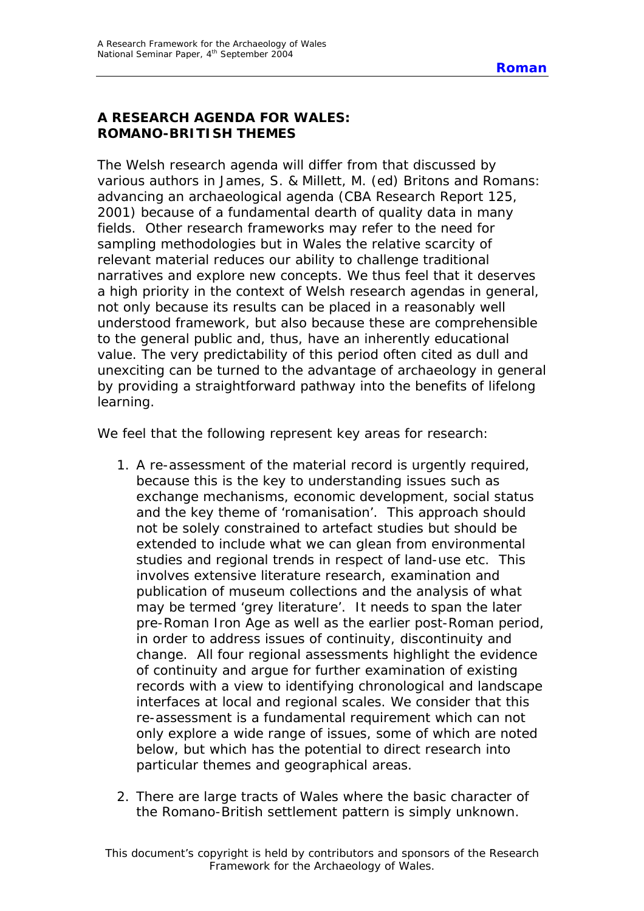## **A RESEARCH AGENDA FOR WALES: ROMANO-BRITISH THEMES**

The Welsh research agenda will differ from that discussed by various authors in James, S. & Millett, M. (ed) *Britons and Romans: advancing an archaeological agenda (CBA Research Report 125, 2001)* because of a fundamental dearth of quality data in many fields. Other research frameworks may refer to the need for sampling methodologies but in Wales the relative scarcity of relevant material reduces our ability to challenge traditional narratives and explore new concepts. We thus feel that it deserves a high priority in the context of Welsh research agendas in general, not only because its results can be placed in a reasonably well understood framework, but also because these are comprehensible to the general public and, thus, have an inherently educational value. The very predictability of this period often cited as dull and unexciting can be turned to the advantage of archaeology in general by providing a straightforward pathway into the benefits of lifelong learning.

We feel that the following represent key areas for research:

- 1. A re-assessment of the material record is urgently required, because this is the key to understanding issues such as exchange mechanisms, economic development, social status and the key theme of 'romanisation'. This approach should not be solely constrained to artefact studies but should be extended to include what we can glean from environmental studies and regional trends in respect of land-use etc. This involves extensive literature research, examination and publication of museum collections and the analysis of what may be termed 'grey literature'. It needs to span the later pre-Roman Iron Age as well as the earlier post-Roman period, in order to address issues of continuity, discontinuity and change. All four regional assessments highlight the evidence of continuity and argue for further examination of existing records with a view to identifying chronological and landscape interfaces at local and regional scales. We consider that this re-assessment is a fundamental requirement which can not only explore a wide range of issues, some of which are noted below, but which has the potential to direct research into particular themes and geographical areas.
- 2. There are large tracts of Wales where the basic character of the Romano-British settlement pattern is simply unknown.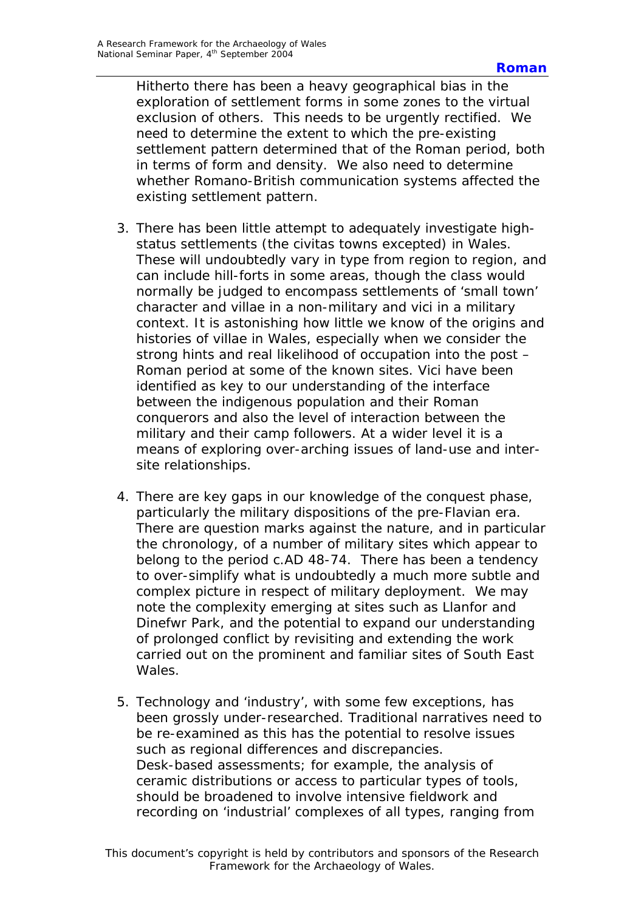Hitherto there has been a heavy geographical bias in the exploration of settlement forms in some zones to the virtual exclusion of others. This needs to be urgently rectified. We need to determine the extent to which the pre-existing settlement pattern determined that of the Roman period, both in terms of form and density. We also need to determine whether Romano-British communication systems affected the existing settlement pattern.

- 3. There has been little attempt to adequately investigate highstatus settlements (the *civitas* towns excepted) in Wales. These will undoubtedly vary in type from region to region, and can include hill-forts in some areas, though the class would normally be judged to encompass settlements of 'small town' character and *villae* in a non-military and *vici* in a military context. It is astonishing how little we know of the origins and histories of *villae* in Wales, especially when we consider the strong hints and real likelihood of occupation into the post – Roman period at some of the known sites. Vici have been identified as key to our understanding of the interface between the indigenous population and their Roman conquerors and also the level of interaction between the military and their camp followers. At a wider level it is a means of exploring over-arching issues of land-use and intersite relationships.
- 4. There are key gaps in our knowledge of the conquest phase, particularly the military dispositions of the pre-Flavian era. There are question marks against the nature, and in particular the chronology, of a number of military sites which appear to belong to the period c.AD 48-74. There has been a tendency to over-simplify what is undoubtedly a much more subtle and complex picture in respect of military deployment. We may note the complexity emerging at sites such as Llanfor and Dinefwr Park, and the potential to expand our understanding of prolonged conflict by revisiting and extending the work carried out on the prominent and familiar sites of South East Wales.
- 5. Technology and 'industry', with some few exceptions, has been grossly under-researched. Traditional narratives need to be re-examined as this has the potential to resolve issues such as regional differences and discrepancies. Desk-based assessments; for example, the analysis of ceramic distributions or access to particular types of tools, should be broadened to involve intensive fieldwork and recording on 'industrial' complexes of all types, ranging from